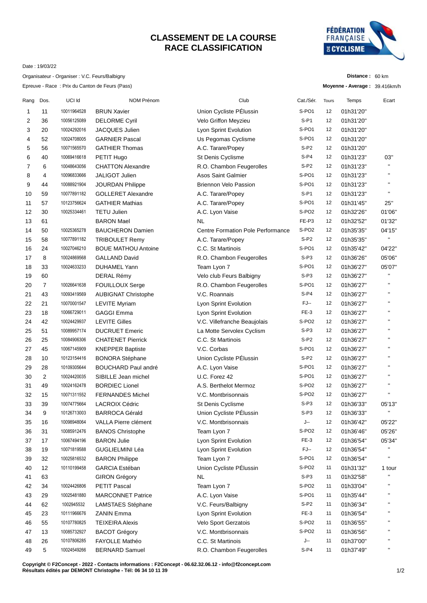## **CLASSEMENT DE LA COURSE RACE CLASSIFICATION**



**Distance :** 60 km

Date : 19/03/22

Organisateur - Organiser : V.C. Feurs/Balbigny

Epreuve - Race : Prix du Canton de Feurs (Pass)

|      |                |             | Epreuve - Race : Prix du Canton de Feurs (Pass) |                                          |                   |              | Moyenne - Average: 39.416km/h |                        |
|------|----------------|-------------|-------------------------------------------------|------------------------------------------|-------------------|--------------|-------------------------------|------------------------|
| Rang | Dos.           | UCI Id      | NOM Prénom                                      | Club                                     | Cat./Sér.         | <b>Tours</b> | Temps                         | Ecart                  |
| 1    | 11             | 10011964528 | <b>BRUN Xavier</b>                              | Union Cycliste PÉlussin                  | S-PO1             | 12           | 01h31'20"                     |                        |
| 2    | 36             | 10056125089 | <b>DELORME Cyril</b>                            | Velo Griffon Meyzieu                     | $S-PI$            | 12           | 01h31'20"                     |                        |
| 3    | 20             | 10024292016 | JACQUES Julien                                  | Lyon Sprint Evolution                    | S-PO1             | 12           | 01h31'20"                     |                        |
| 4    | 52             | 10024708005 | <b>GARNIER Pascal</b>                           | Us Pegomas Cyclisme                      | S-PO1             | 12           | 01h31'20"                     |                        |
| 5    | 56             | 10071565570 | <b>GATHIER Thomas</b>                           | A.C. Tarare/Popey                        | $S-P2$            | 12           | 01h31'20"                     |                        |
| 6    | 40             | 10069416618 | PETIT Hugo                                      | St Denis Cyclisme                        | $S-P4$            | 12           | 01h31'23"                     | 03"                    |
| 7    | 6              | 10048643056 | <b>CHATTON Alexandre</b>                        | R.O. Chambon Feugerolles                 | $S-P2$            | 12           | 01h31'23"                     | $\mathbf{H}$           |
| 8    | 4              | 10096833666 | <b>JALIGOT Julien</b>                           | <b>Asos Saint Galmier</b>                | S-PO1             | 12           | 01h31'23"                     | $\blacksquare$         |
| 9    | 44             | 10088921904 | <b>JOURDAN Philippe</b>                         | <b>Briennon Velo Passion</b>             | S-PO1             | 12           | 01h31'23"                     | $\pmb{\mathsf{H}}$     |
| 10   | 59             | 10077891182 | <b>GOLLERET Alexandre</b>                       | A.C. Tarare/Popey                        | $S-PI$            | 12           | 01h31'23"                     | $\blacksquare$         |
| 11   | 57             | 10123756624 | <b>GATHIER Mathias</b>                          | A.C. Tarare/Popey                        | S-PO1             | 12           | 01h31'45"                     | 25"                    |
| 12   | 30             | 10025334461 | <b>TETU Julien</b>                              | A.C. Lyon Vaise                          | S-PO <sub>2</sub> | 12           | 01h32'26"                     | 01'06"                 |
| 13   | 61             |             | <b>BARON Mael</b>                               | <b>NL</b>                                | FE-P3             | 12           | 01h32'52"                     | 01'32"                 |
| 14   | 50             | 10025365278 | <b>BAUCHERON Damien</b>                         | <b>Centre Formation Pole Performance</b> | S-PO <sub>2</sub> | 12           | 01h35'35"                     | 04'15"                 |
| 15   | 58             | 10077891182 | <b>TRIBOULET Remy</b>                           | A.C. Tarare/Popey                        | $S-P2$            | 12           | 01h35'35"                     | $\mathbf{H}$           |
| 16   | 24             | 10027046210 | <b>BOUE MATHOU Antoine</b>                      | C.C. St Martinois                        | S-PO1             | 12           | 01h35'42"                     | 04'22"                 |
| 17   | 8              | 10024869568 | <b>GALLAND David</b>                            | R.O. Chambon Feugerolles                 | $S-P3$            | 12           | 01h36'26"                     | 05'06"                 |
| 18   | 33             | 10024633233 | <b>DUHAMEL Yann</b>                             | Team Lyon 7                              | S-PO1             | 12           | 01h36'27"                     | 05'07"                 |
| 19   | 60             |             | DERAL Rémy                                      | Velo club Feurs Balbigny                 | $S-P3$            | 12           | 01h36'27"                     | $\mathbf{H}$           |
| 20   | $\overline{7}$ | 10026641638 | FOUILLOUX Serge                                 | R.O. Chambon Feugerolles                 | S-PO1             | 12           | 01h36'27"                     | $\blacksquare$         |
| 21   | 43             | 10093419569 | <b>AUBIGNAT Christophe</b>                      | V.C. Roannais                            | $S-P4$            | 12           | 01h36'27"                     | $\pmb{\mathsf{H}}$     |
| 22   | 21             | 10070001547 | LEVITE Myriam                                   | Lyon Sprint Evolution                    | FJ--              | 12           | 01h36'27"                     | $\blacksquare$         |
| 23   | 18             | 10066729011 | <b>GAGGI Emma</b>                               | Lyon Sprint Evolution                    | FE-3              | 12           | 01h36'27"                     | $\pmb{\mathsf{H}}$     |
| 24   | 42             | 10024429937 | <b>LEVITE Gilles</b>                            | V.C. Villefranche Beaujolais             | S-PO <sub>2</sub> | 12           | 01h36'27"                     | $\blacksquare$         |
| 25   | 51             | 10089957174 | <b>DUCRUET Emeric</b>                           | La Motte Servolex Cyclism                | $S-P3$            | 12           | 01h36'27"                     | $\blacksquare$         |
| 26   | 25             | 10084906306 | <b>CHATENET Pierrick</b>                        | C.C. St Martinois                        | $S-P2$            | 12           | 01h36'27"                     | $\blacksquare$         |
| 27   | 45             | 10067145909 | <b>KNEPPER Baptiste</b>                         | V.C. Corbas                              | S-PO1             | 12           | 01h36'27"                     | $\pmb{\shortparallel}$ |
| 28   | 10             | 10123154416 | <b>BONORA Stéphane</b>                          | Union Cycliste PÉlussin                  | $S-P2$            | 12           | 01h36'27"                     | $\blacksquare$         |
| 29   | 28             | 10109305644 | <b>BOUCHARD Paul andré</b>                      | A.C. Lyon Vaise                          | S-PO1             | 12           | 01h36'27"                     | $\pmb{\mathsf{H}}$     |
| 30   | $\overline{2}$ | 10024420035 | SIBILLE Jean michel                             | U.C. Forez 42                            | S-PO1             | 12           | 01h36'27"                     | $\mathbf{H}$           |
| 31   | 49             | 10024162478 | <b>BORDIEC Lionel</b>                           | A.S. Berthelot Mermoz                    | S-PO <sub>2</sub> | 12           | 01h36'27"                     | $\blacksquare$         |
| 32   | 15             | 10071311552 | <b>FERNANDES Michel</b>                         | V.C. Montbrisonnais                      | S-PO <sub>2</sub> | 12           | 01h36'27"                     | $\blacksquare$         |
| 33   | 39             | 10074775664 | <b>LACROIX Cédric</b>                           | St Denis Cyclisme                        | $S-P3$            | 12           | 01h36'33"                     | 05'13"                 |
| 34   | 9              | 10126713003 | <b>BARROCA Gérald</b>                           | Union Cycliste PÉlussin                  | $S-P3$            | 12           | 01h36'33"                     | $\mathbf{u}$           |
| 35   | 16             | 10098948064 | VALLA Pierre clément                            | V.C. Montbrisonnais                      | J--               | 12           | 01h36'42"                     | 05'22"                 |
| 36   | 31             | 10085912476 | <b>BANOS Christophe</b>                         | Team Lyon 7                              | S-PO2             | 12           | 01h36'46"                     | 05'26"                 |
| 37   | 17             | 10067494196 | <b>BARON Julie</b>                              | Lyon Sprint Evolution                    | $FE-3$            | 12           | 01h36'54"                     | 05'34"                 |
| 38   | 19             | 10071819588 | GUGLIELMINI Léa                                 | Lyon Sprint Evolution                    | FJ--              | 12           | 01h36'54"                     | н                      |
| 39   | 32             | 10025816532 | <b>BARON Philippe</b>                           | Team Lyon 7                              | S-PO1             | 12           | 01h36'54"                     | н                      |
| 40   | 12             | 10110199458 | <b>GARCIA Estéban</b>                           | Union Cycliste PÉlussin                  | S-PO <sub>2</sub> | 11           | 01h31'32"                     | 1 tour                 |
| 41   | 63             |             | <b>GIRON Grégory</b>                            | NL                                       | $S-P3$            | 11           | 01h32'58"                     | $\blacksquare$         |
| 42   | 34             | 10024426806 | PETIT Pascal                                    | Team Lyon 7                              | S-PO <sub>2</sub> | 11           | 01h33'04"                     | п                      |
| 43   | 29             | 10025481880 | <b>MARCONNET Patrice</b>                        | A.C. Lyon Vaise                          | S-PO1             | 11           | 01h35'44"                     |                        |
| 44   | 62             | 1002945532  | LAMSTAES Stéphane                               | V.C. Feurs/Balbigny                      | $S-P2$            | 11           | 01h36'34"                     | П                      |
| 45   | 23             | 10111966676 | ZANIN Emma                                      | Lyon Sprint Evolution                    | FE-3              | 11           | 01h36'54"                     | п                      |
| 46   | 55             | 10107780825 | <b>TEIXEIRA Alexis</b>                          | Velo Sport Gerzatois                     | S-PO <sub>2</sub> | 11           | 01h36'55"                     | П                      |
| 47   | 13             | 10085732927 | <b>BACOT Grégory</b>                            | V.C. Montbrisonnais                      | S-PO <sub>2</sub> | 11           | 01h36'56"                     |                        |
| 48   | 26             | 10107806285 | FAYOLLE Mathéo                                  | C.C. St Martinois                        | J--               | 11           | 01h37'00"                     |                        |
| 49   | $\,$ 5 $\,$    | 10024549266 | <b>BERNARD Samuel</b>                           | R.O. Chambon Feugerolles                 | $S-P4$            | 11           | 01h37'49"                     | п                      |
|      |                |             |                                                 |                                          |                   |              |                               |                        |

**Copyright © F2Concept - 2022 - Contacts informations : F2Concept - 06.62.32.06.12 - info@f2concept.com Résultats édités par DEMONT Christophe - Tél: 06 34 10 11 39**